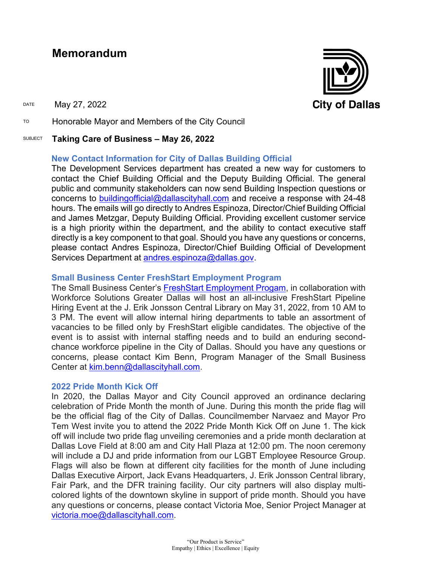# **Memorandum**

DATE May 27, 2022

TO Honorable Mayor and Members of the City Council

#### SUBJECT **Taking Care of Business – May 26, 2022**

### **New Contact Information for City of Dallas Building Official**

The Development Services department has created a new way for customers to contact the Chief Building Official and the Deputy Building Official. The general public and community stakeholders can now send Building Inspection questions or concerns to [buildingofficial@dallascityhall.com](mailto:buildingofficial@dallascityhall.com) and receive a response with 24-48 hours. The emails will go directly to Andres Espinoza, Director/Chief Building Official and James Metzgar, Deputy Building Official. Providing excellent customer service is a high priority within the department, and the ability to contact executive staff directly is a key component to that goal. Should you have any questions or concerns, please contact Andres Espinoza, Director/Chief Building Official of Development Services Department at [andres.espinoza@dallas.gov.](mailto:andres.espinoza@dallas.gov)

### **Small Business Center FreshStart Employment Program**

The Small Business Center's [FreshStart Employment Progam,](https://gcc02.safelinks.protection.outlook.com/?url=https%3A%2F%2Fdallascityhall.com%2Fdepartments%2Fsbcworkforcedev%2FPages%2Ffreshstart-employment-program-positions.aspx&data=05%7C01%7Cbrandon.castillo%40dallascityhall.com%7C0dee144bd1324da399e008da3cc3810b%7C2935709ec10c4809a302852d369f8700%7C0%7C0%7C637889107620825469%7CUnknown%7CTWFpbGZsb3d8eyJWIjoiMC4wLjAwMDAiLCJQIjoiV2luMzIiLCJBTiI6Ik1haWwiLCJXVCI6Mn0%3D%7C3000%7C%7C%7C&sdata=gDagkWdnmoUGdL4PzNGq34AoWpa%2FOjQhMniPKzRgDz0%3D&reserved=0) in collaboration with Workforce Solutions Greater Dallas will host an all-inclusive FreshStart Pipeline Hiring Event at the J. Erik Jonsson Central Library on May 31, 2022, from 10 AM to 3 PM. The event will allow internal hiring departments to table an assortment of vacancies to be filled only by FreshStart eligible candidates. The objective of the event is to assist with internal staffing needs and to build an enduring secondchance workforce pipeline in the City of Dallas. Should you have any questions or concerns, please contact Kim Benn, Program Manager of the Small Business Center at [kim.benn@dallascityhall.com.](mailto:kim.benn@dallascityhall.com)

#### **2022 Pride Month Kick Off**

In 2020, the Dallas Mayor and City Council approved an ordinance declaring celebration of Pride Month the month of June. During this month the pride flag will be the official flag of the City of Dallas. Councilmember Narvaez and Mayor Pro Tem West invite you to attend the 2022 Pride Month Kick Off on June 1. The kick off will include two pride flag unveiling ceremonies and a pride month declaration at Dallas Love Field at 8:00 am and City Hall Plaza at 12:00 pm. The noon ceremony will include a DJ and pride information from our LGBT Employee Resource Group. Flags will also be flown at different city facilities for the month of June including Dallas Executive Airport, Jack Evans Headquarters, J. Erik Jonsson Central library, Fair Park, and the DFR training facility. Our city partners will also display multicolored lights of the downtown skyline in support of pride month. Should you have any questions or concerns, please contact Victoria Moe, Senior Project Manager at [victoria.moe@dallascityhall.com.](mailto:victoria.moe@dallascityhall.com)

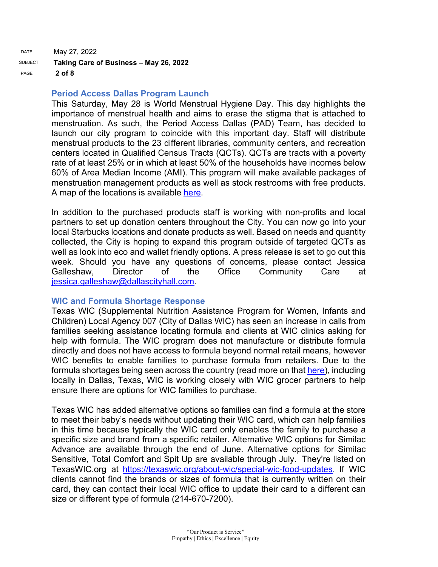DATE May 27, 2022 SUBJECT **Taking Care of Business – May 26, 2022** PAGE **2 of 8**

#### **Period Access Dallas Program Launch**

This Saturday, May 28 is World Menstrual Hygiene Day. This day highlights the importance of menstrual health and aims to erase the stigma that is attached to menstruation. As such, the Period Access Dallas (PAD) Team, has decided to launch our city program to coincide with this important day. Staff will distribute menstrual products to the 23 different libraries, community centers, and recreation centers located in Qualified Census Tracts (QCTs). QCTs are tracts with a poverty rate of at least 25% or in which at least 50% of the households have incomes below 60% of Area Median Income (AMI). This program will make available packages of menstruation management products as well as stock restrooms with free products. A map of the locations is available [here.](https://gcc02.safelinks.protection.outlook.com/?url=https%3A%2F%2Fdallasgis.maps.arcgis.com%2Fapps%2Fwebappviewer%2Findex.html%3Fid%3D9dad60d03e294699b83649a551eb882b&data=05%7C01%7Cbrandon.castillo%40dallascityhall.com%7C1611f950ce6d408e375208da3dcd83b3%7C2935709ec10c4809a302852d369f8700%7C0%7C0%7C637890250479091400%7CUnknown%7CTWFpbGZsb3d8eyJWIjoiMC4wLjAwMDAiLCJQIjoiV2luMzIiLCJBTiI6Ik1haWwiLCJXVCI6Mn0%3D%7C3000%7C%7C%7C&sdata=Z6OPRwD%2BRGhEREwv%2FmvBB6KaDlFZo6D%2BGlGzmmPybgQ%3D&reserved=0)

In addition to the purchased products staff is working with non-profits and local partners to set up donation centers throughout the City. You can now go into your local Starbucks locations and donate products as well. Based on needs and quantity collected, the City is hoping to expand this program outside of targeted QCTs as well as look into eco and wallet friendly options. A press release is set to go out this week. Should you have any questions of concerns, please contact Jessica Galleshaw, Director of the Office Community Care at [jessica.galleshaw@dallascityhall.com.](mailto:jessica.galleshaw@dallascityhall.com)

#### **WIC and Formula Shortage Response**

Texas WIC (Supplemental Nutrition Assistance Program for Women, Infants and Children) Local Agency 007 (City of Dallas WIC) has seen an increase in calls from families seeking assistance locating formula and clients at WIC clinics asking for help with formula. The WIC program does not manufacture or distribute formula directly and does not have access to formula beyond normal retail means, however WIC benefits to enable families to purchase formula from retailers. Due to the formula shortages being seen across the country (read more on that [here\)](https://gcc02.safelinks.protection.outlook.com/?url=https%3A%2F%2Fwww.npr.org%2F2022%2F05%2F22%2F1100600797%2Fbaby-formula-shortage-overseas-shipment-abbott-ceo-apology&data=05%7C01%7Cbrandon.castillo%40dallascityhall.com%7C5100327b5e934cad01d908da3dc5e8d6%7C2935709ec10c4809a302852d369f8700%7C0%7C0%7C637890217463153302%7CUnknown%7CTWFpbGZsb3d8eyJWIjoiMC4wLjAwMDAiLCJQIjoiV2luMzIiLCJBTiI6Ik1haWwiLCJXVCI6Mn0%3D%7C3000%7C%7C%7C&sdata=hZsGKDJ%2Fl1iDrqsuVrM4wXiYo4TylQBHAN1RwCCjWDM%3D&reserved=0), including locally in Dallas, Texas, WIC is working closely with WIC grocer partners to help ensure there are options for WIC families to purchase.

Texas WIC has added alternative options so families can find a formula at the store to meet their baby's needs without updating their WIC card, which can help families in this time because typically the WIC card only enables the family to purchase a specific size and brand from a specific retailer. Alternative WIC options for Similac Advance are available through the end of June. Alternative options for Similac Sensitive, Total Comfort and Spit Up are available through July. They're listed on TexasWIC.org at [https://texaswic.org/about-wic/special-wic-food-updates.](https://gcc02.safelinks.protection.outlook.com/?url=https%3A%2F%2Ftexaswic.org%2Fabout-wic%2Fspecial-wic-food-updates&data=05%7C01%7Cbrandon.castillo%40dallascityhall.com%7C5100327b5e934cad01d908da3dc5e8d6%7C2935709ec10c4809a302852d369f8700%7C0%7C0%7C637890217463153302%7CUnknown%7CTWFpbGZsb3d8eyJWIjoiMC4wLjAwMDAiLCJQIjoiV2luMzIiLCJBTiI6Ik1haWwiLCJXVCI6Mn0%3D%7C3000%7C%7C%7C&sdata=RFMFL3Vm86Bm%2BFS9eQE9fCli63k7LMgDtN0ChH9%2FBsA%3D&reserved=0) If WIC clients cannot find the brands or sizes of formula that is currently written on their card, they can contact their local WIC office to update their card to a different can size or different type of formula (214-670-7200).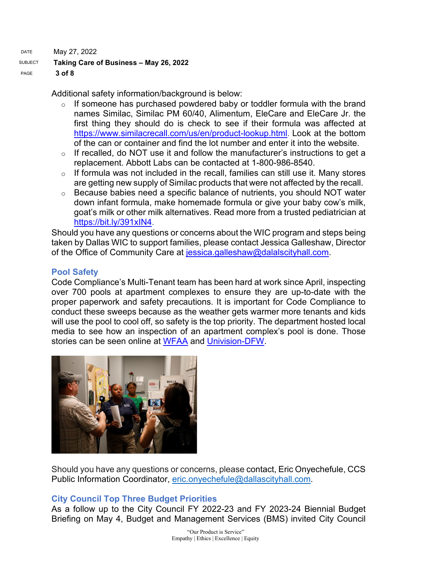DATE May 27, 2022

# SUBJECT **Taking Care of Business – May 26, 2022**

PAGE **3 of 8**

Additional safety information/background is below:

- $\circ$  If someone has purchased powdered baby or toddler formula with the brand names Similac, Similac PM 60/40, Alimentum, EleCare and EleCare Jr. the first thing they should do is check to see if their formula was affected at [https://www.similacrecall.com/us/en/product-lookup.html.](https://gcc02.safelinks.protection.outlook.com/?url=https%3A%2F%2Fwww.similacrecall.com%2Fus%2Fen%2Fproduct-lookup.html&data=05%7C01%7Cbrandon.castillo%40dallascityhall.com%7C5100327b5e934cad01d908da3dc5e8d6%7C2935709ec10c4809a302852d369f8700%7C0%7C0%7C637890217463153302%7CUnknown%7CTWFpbGZsb3d8eyJWIjoiMC4wLjAwMDAiLCJQIjoiV2luMzIiLCJBTiI6Ik1haWwiLCJXVCI6Mn0%3D%7C3000%7C%7C%7C&sdata=rTURsnV9loIDDr6hAJlhyst4tKnrSVDCoco9KOrE2V0%3D&reserved=0) Look at the bottom of the can or container and find the lot number and enter it into the website.
- $\circ$  If recalled, do NOT use it and follow the manufacturer's instructions to get a replacement. Abbott Labs can be contacted at 1-800-986-8540.
- $\circ$  If formula was not included in the recall, families can still use it. Many stores are getting new supply of Similac products that were not affected by the recall.
- $\circ$  Because babies need a specific balance of nutrients, you should NOT water down infant formula, make homemade formula or give your baby cow's milk, goat's milk or other milk alternatives. Read more from a trusted pediatrician at [https://bit.ly/391xIN4](https://gcc02.safelinks.protection.outlook.com/?url=https%3A%2F%2Fbit.ly%2F391xIN4&data=05%7C01%7Cbrandon.castillo%40dallascityhall.com%7C5100327b5e934cad01d908da3dc5e8d6%7C2935709ec10c4809a302852d369f8700%7C0%7C0%7C637890217463153302%7CUnknown%7CTWFpbGZsb3d8eyJWIjoiMC4wLjAwMDAiLCJQIjoiV2luMzIiLCJBTiI6Ik1haWwiLCJXVCI6Mn0%3D%7C3000%7C%7C%7C&sdata=gSVa27MaovMWbdfTUAy7nkbky0y1w61Ftqpp6v725WA%3D&reserved=0).

Should you have any questions or concerns about the WIC program and steps being taken by Dallas WIC to support families, please contact Jessica Galleshaw, Director of the Office of Community Care at [jessica.galleshaw@dalalscityhall.com.](mailto:jessica.galleshaw@dalalscityhall.com)

# **Pool Safety**

Code Compliance's Multi-Tenant team has been hard at work since April, inspecting over 700 pools at apartment complexes to ensure they are up-to-date with the proper paperwork and safety precautions. It is important for Code Compliance to conduct these sweeps because as the weather gets warmer more tenants and kids will use the pool to cool off, so safety is the top priority. The department hosted local media to see how an inspection of an apartment complex's pool is done. Those stories can be seen online at [WFAA](https://www.wfaa.com/article/news/local/dallas-code-compliance-department-checking-pools-summer-season/287-2fe5ae57-d7e2-474c-99b0-0247aeb606af) and [Univision-DFW.](https://www.univision.com/local/dallas-kuvn/agua-limpia-y-telefono-de-emergencias-conoce-los-requisitos-de-seguridad-que-deben-cumplir-las-piscinas-video?utm_campaign=Univision23DFW&utm_medium=social&utm_source=twitter)



Should you have any questions or concerns, please contact, Eric Onyechefule, CCS Public Information Coordinator, [eric.onyechefule@dallascityhall.com.](mailto:eric.onyechefule@dallascityhall.com)

# **City Council Top Three Budget Priorities**

As a follow up to the City Council FY 2022-23 and FY 2023-24 Biennial Budget Briefing on May 4, Budget and Management Services (BMS) invited City Council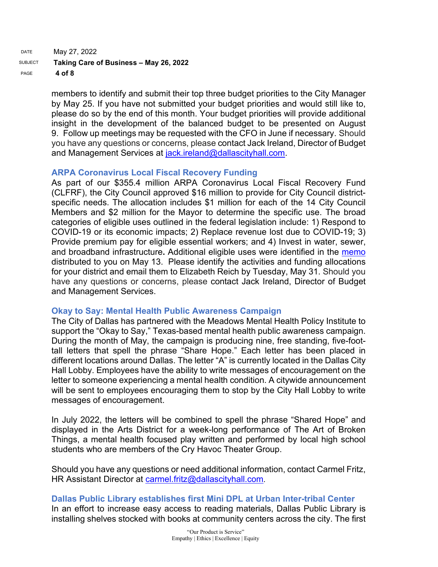DATE May 27, 2022 SUBJECT **Taking Care of Business – May 26, 2022** PAGE **4 of 8**

> members to identify and submit their top three budget priorities to the City Manager by May 25. If you have not submitted your budget priorities and would still like to, please do so by the end of this month. Your budget priorities will provide additional insight in the development of the balanced budget to be presented on August 9. Follow up meetings may be requested with the CFO in June if necessary. Should you have any questions or concerns, please contact Jack Ireland, Director of Budget and Management Services at [jack.ireland@dallascityhall.com.](mailto:jack.ireland@dallascityhall.com)

### **ARPA Coronavirus Local Fiscal Recovery Funding**

As part of our \$355.4 million ARPA Coronavirus Local Fiscal Recovery Fund (CLFRF), the City Council approved \$16 million to provide for City Council districtspecific needs. The allocation includes \$1 million for each of the 14 City Council Members and \$2 million for the Mayor to determine the specific use. The broad categories of eligible uses outlined in the federal legislation include: 1) Respond to COVID-19 or its economic impacts; 2) Replace revenue lost due to COVID-19; 3) Provide premium pay for eligible essential workers; and 4) Invest in water, sewer, and broadband infrastructure**.** Additional eligible uses were identified in the [memo](https://gcc02.safelinks.protection.outlook.com/?url=https%3A%2F%2Fdallascityhall.com%2Fgovernment%2Fcitymanager%2FDocuments%2FFY%252021-22%2520Memos%2FARPA-Coronavirus-Local-Fiscal-Recovery-Funding-for-City-Council-Districts_memo_051322.pdf&data=05%7C01%7Cbrandon.castillo%40dallascityhall.com%7C8247d7dafc4e4fc5b07f08da3d04530e%7C2935709ec10c4809a302852d369f8700%7C0%7C0%7C637889386021982538%7CUnknown%7CTWFpbGZsb3d8eyJWIjoiMC4wLjAwMDAiLCJQIjoiV2luMzIiLCJBTiI6Ik1haWwiLCJXVCI6Mn0%3D%7C3000%7C%7C%7C&sdata=LbeP428XKlpNqXwPd8oDluz%2BXwbvVDMUTNV%2FzLquSEc%3D&reserved=0) distributed to you on May 13. Please identify the activities and funding allocations for your district and email them to Elizabeth Reich by Tuesday, May 31. Should you have any questions or concerns, please contact Jack Ireland, Director of Budget and Management Services.

### **Okay to Say: Mental Health Public Awareness Campaign**

The City of Dallas has partnered with the Meadows Mental Health Policy Institute to support the "Okay to Say," Texas-based mental health public awareness campaign. During the month of May, the campaign is producing nine, free standing, five-foottall letters that spell the phrase "Share Hope." Each letter has been placed in different locations around Dallas. The letter "A" is currently located in the Dallas City Hall Lobby. Employees have the ability to write messages of encouragement on the letter to someone experiencing a mental health condition. A citywide announcement will be sent to employees encouraging them to stop by the City Hall Lobby to write messages of encouragement.

In July 2022, the letters will be combined to spell the phrase "Shared Hope" and displayed in the Arts District for a week-long performance of The Art of Broken Things, a mental health focused play written and performed by local high school students who are members of the Cry Havoc Theater Group.

Should you have any questions or need additional information, contact Carmel Fritz, HR Assistant Director at [carmel.fritz@dallascityhall.com](mailto:carmel.fritz@dallascityhall.com).

### **Dallas Public Library establishes first Mini DPL at Urban Inter-tribal Center**

In an effort to increase easy access to reading materials, Dallas Public Library is installing shelves stocked with books at community centers across the city. The first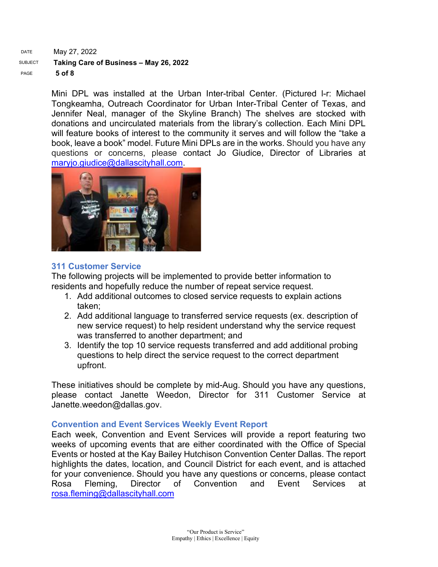DATE May 27, 2022 SUBJECT **Taking Care of Business – May 26, 2022** PAGE **5 of 8**

> Mini DPL was installed at the Urban Inter-tribal Center. (Pictured l-r: Michael Tongkeamha, Outreach Coordinator for Urban Inter-Tribal Center of Texas, and Jennifer Neal, manager of the Skyline Branch) The shelves are stocked with donations and uncirculated materials from the library's collection. Each Mini DPL will feature books of interest to the community it serves and will follow the "take a book, leave a book" model. Future Mini DPLs are in the works. Should you have any questions or concerns, please contact Jo Giudice, Director of Libraries at [maryjo.giudice@dallascityhall.com.](mailto:maryjo.giudice@dallascityhall.com)



### **311 Customer Service**

The following projects will be implemented to provide better information to residents and hopefully reduce the number of repeat service request.

- 1. Add additional outcomes to closed service requests to explain actions taken;
- 2. Add additional language to transferred service requests (ex. description of new service request) to help resident understand why the service request was transferred to another department; and
- 3. Identify the top 10 service requests transferred and add additional probing questions to help direct the service request to the correct department upfront.

These initiatives should be complete by mid-Aug. Should you have any questions, please contact Janette Weedon, Director for 311 Customer Service at [Janette.weedon@dallas.gov.](mailto:Janette.weedon@dallas.gov)

## **Convention and Event Services Weekly Event Report**

Each week, Convention and Event Services will provide a report featuring two weeks of upcoming events that are either coordinated with the Office of Special Events or hosted at the Kay Bailey Hutchison Convention Center Dallas. The report highlights the dates, location, and Council District for each event, and is attached for your convenience. Should you have any questions or concerns, please contact Rosa Fleming, Director of Convention and Event Services at [rosa.fleming@dallascityhall.com](mailto:rosa.fleming@dallascityhall.com)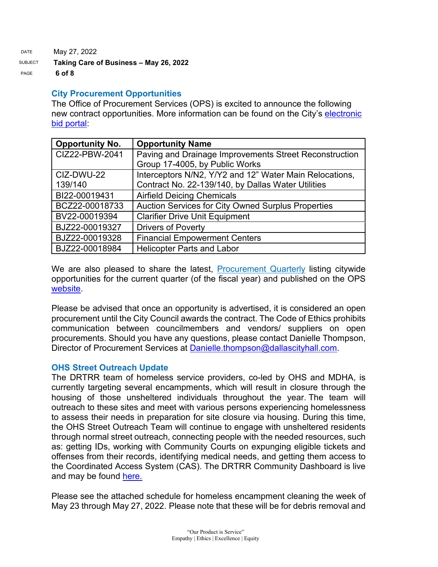DATE May 27, 2022 SUBJECT **Taking Care of Business – May 26, 2022** PAGE **6 of 8**

### **City Procurement Opportunities**

The Office of Procurement Services (OPS) is excited to announce the following new contract opportunities. More information can be found on the City's electronic [bid portal:](https://gcc02.safelinks.protection.outlook.com/?url=https%3A%2F%2Fdallascityhall.bonfirehub.com%2Fportal%2F%3Ftab%3DopenOpportunities&data=05%7C01%7Cbrandon.castillo%40dallascityhall.com%7Cdd89d3dccf164d3e66ee08da3cd75bdf%7C2935709ec10c4809a302852d369f8700%7C0%7C0%7C637889192894534790%7CUnknown%7CTWFpbGZsb3d8eyJWIjoiMC4wLjAwMDAiLCJQIjoiV2luMzIiLCJBTiI6Ik1haWwiLCJXVCI6Mn0%3D%7C3000%7C%7C%7C&sdata=4vmS2vXGktWzFd6vvNjylNinuk0a2sV8ju0kdxcChgY%3D&reserved=0)

| <b>Opportunity No.</b> | <b>Opportunity Name</b>                                   |
|------------------------|-----------------------------------------------------------|
| CIZ22-PBW-2041         | Paving and Drainage Improvements Street Reconstruction    |
|                        | Group 17-4005, by Public Works                            |
| CIZ-DWU-22             | Interceptors N/N2, Y/Y2 and 12" Water Main Relocations,   |
| 139/140                | Contract No. 22-139/140, by Dallas Water Utilities        |
| BI22-00019431          | <b>Airfield Deicing Chemicals</b>                         |
| BCZ22-00018733         | <b>Auction Services for City Owned Surplus Properties</b> |
| BV22-00019394          | <b>Clarifier Drive Unit Equipment</b>                     |
| BJZ22-00019327         | <b>Drivers of Poverty</b>                                 |
| BJZ22-00019328         | <b>Financial Empowerment Centers</b>                      |
| BJZ22-00018984         | <b>Helicopter Parts and Labor</b>                         |

We are also pleased to share the latest, [Procurement Quarterly](https://gcc02.safelinks.protection.outlook.com/?url=https%3A%2F%2Fdallascityhall.com%2Fdepartments%2Fprocurement%2FDocuments%2FOPS%2520FY22%2520Q3%2520Procurement%2520Quarterly.pdf&data=05%7C01%7Cbrandon.castillo%40dallascityhall.com%7C0f2d87070b994656c03208da381943a2%7C2935709ec10c4809a302852d369f8700%7C0%7C0%7C637883978409268240%7CUnknown%7CTWFpbGZsb3d8eyJWIjoiMC4wLjAwMDAiLCJQIjoiV2luMzIiLCJBTiI6Ik1haWwiLCJXVCI6Mn0%3D%7C3000%7C%7C%7C&sdata=MiMyIdLCdsAmf1NdEaoNL%2BtJJoWgt6NCR0AIeavppTY%3D&reserved=0) listing citywide opportunities for the current quarter (of the fiscal year) and published on the OPS [website.](https://gcc02.safelinks.protection.outlook.com/?url=https%3A%2F%2Fdallascityhall.com%2Fdepartments%2Fprocurement%2FPages%2Fdefault.aspx&data=05%7C01%7Cbrandon.castillo%40dallascityhall.com%7C0f2d87070b994656c03208da381943a2%7C2935709ec10c4809a302852d369f8700%7C0%7C0%7C637883978409268240%7CUnknown%7CTWFpbGZsb3d8eyJWIjoiMC4wLjAwMDAiLCJQIjoiV2luMzIiLCJBTiI6Ik1haWwiLCJXVCI6Mn0%3D%7C3000%7C%7C%7C&sdata=IlS1uWhlmsHo3t456PGVeh0e4AK84eTtdl47T3OTfRA%3D&reserved=0)

Please be advised that once an opportunity is advertised, it is considered an open procurement until the City Council awards the contract. The Code of Ethics prohibits communication between councilmembers and vendors/ suppliers on open procurements. Should you have any questions, please contact Danielle Thompson, Director of Procurement Services at [Danielle.thompson@dallascityhall.com.](mailto:Danielle.thompson@dallascityhall.com)

## **OHS Street Outreach Update**

The DRTRR team of homeless service providers, co-led by OHS and MDHA, is currently targeting several encampments, which will result in closure through the housing of those unsheltered individuals throughout the year. The team will outreach to these sites and meet with various persons experiencing homelessness to assess their needs in preparation for site closure via housing. During this time, the OHS Street Outreach Team will continue to engage with unsheltered residents through normal street outreach, connecting people with the needed resources, such as: getting IDs, working with Community Courts on expunging eligible tickets and offenses from their records, identifying medical needs, and getting them access to the Coordinated Access System (CAS). The DRTRR Community Dashboard is live and may be found [here.](https://www.mdhadallas.org/community-dashboard-2/)

Please see the attached schedule for homeless encampment cleaning the week of May 23 through May 27, 2022. Please note that these will be for debris removal and